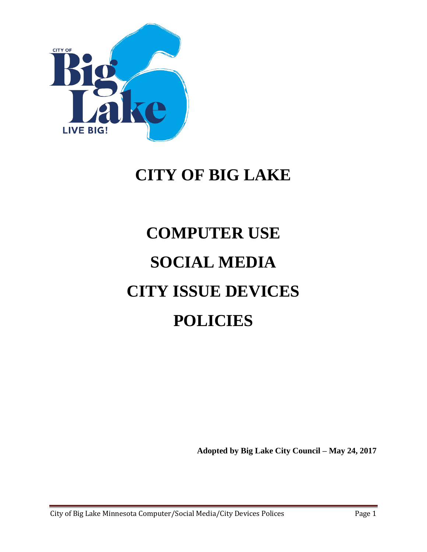

# **CITY OF BIG LAKE**

# **COMPUTER USE SOCIAL MEDIA CITY ISSUE DEVICES POLICIES**

**Adopted by Big Lake City Council – May 24, 2017**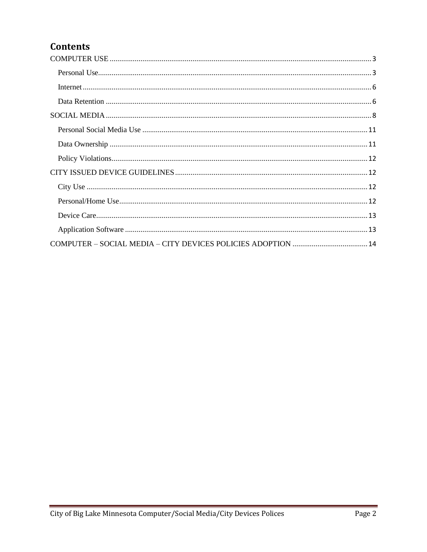### **Contents**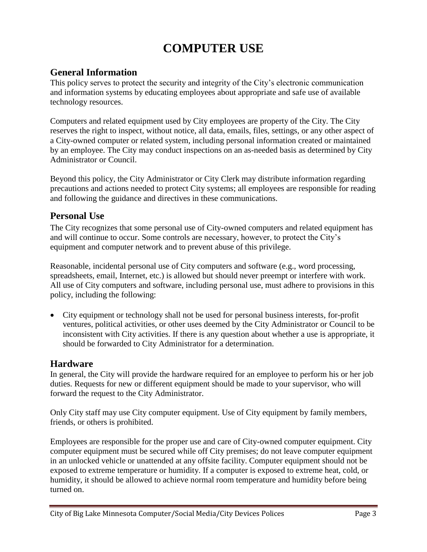## **COMPUTER USE**

#### <span id="page-2-0"></span>**General Information**

This policy serves to protect the security and integrity of the City's electronic communication and information systems by educating employees about appropriate and safe use of available technology resources.

Computers and related equipment used by City employees are property of the City. The City reserves the right to inspect, without notice, all data, emails, files, settings, or any other aspect of a City-owned computer or related system, including personal information created or maintained by an employee. The City may conduct inspections on an as-needed basis as determined by City Administrator or Council.

Beyond this policy, the City Administrator or City Clerk may distribute information regarding precautions and actions needed to protect City systems; all employees are responsible for reading and following the guidance and directives in these communications.

#### <span id="page-2-1"></span>**Personal Use**

The City recognizes that some personal use of City-owned computers and related equipment has and will continue to occur. Some controls are necessary, however, to protect the City's equipment and computer network and to prevent abuse of this privilege.

Reasonable, incidental personal use of City computers and software (e.g., word processing, spreadsheets, email, Internet, etc.) is allowed but should never preempt or interfere with work. All use of City computers and software, including personal use, must adhere to provisions in this policy, including the following:

 City equipment or technology shall not be used for personal business interests, for-profit ventures, political activities, or other uses deemed by the City Administrator or Council to be inconsistent with City activities. If there is any question about whether a use is appropriate, it should be forwarded to City Administrator for a determination.

#### **Hardware**

In general, the City will provide the hardware required for an employee to perform his or her job duties. Requests for new or different equipment should be made to your supervisor, who will forward the request to the City Administrator.

Only City staff may use City computer equipment. Use of City equipment by family members, friends, or others is prohibited.

Employees are responsible for the proper use and care of City-owned computer equipment. City computer equipment must be secured while off City premises; do not leave computer equipment in an unlocked vehicle or unattended at any offsite facility. Computer equipment should not be exposed to extreme temperature or humidity. If a computer is exposed to extreme heat, cold, or humidity, it should be allowed to achieve normal room temperature and humidity before being turned on.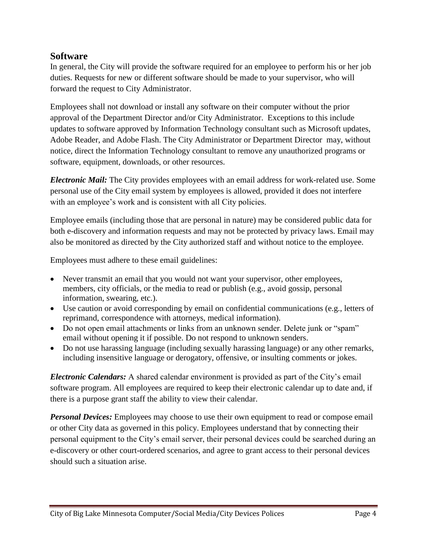#### **Software**

In general, the City will provide the software required for an employee to perform his or her job duties. Requests for new or different software should be made to your supervisor, who will forward the request to City Administrator.

Employees shall not download or install any software on their computer without the prior approval of the Department Director and/or City Administrator. Exceptions to this include updates to software approved by Information Technology consultant such as Microsoft updates, Adobe Reader, and Adobe Flash. The City Administrator or Department Director may, without notice, direct the Information Technology consultant to remove any unauthorized programs or software, equipment, downloads, or other resources.

*Electronic Mail:* The City provides employees with an email address for work-related use. Some personal use of the City email system by employees is allowed, provided it does not interfere with an employee's work and is consistent with all City policies.

Employee emails (including those that are personal in nature) may be considered public data for both e-discovery and information requests and may not be protected by privacy laws. Email may also be monitored as directed by the City authorized staff and without notice to the employee.

Employees must adhere to these email guidelines:

- Never transmit an email that you would not want your supervisor, other employees, members, city officials, or the media to read or publish (e.g., avoid gossip, personal information, swearing, etc.).
- Use caution or avoid corresponding by email on confidential communications (e.g., letters of reprimand, correspondence with attorneys, medical information).
- Do not open email attachments or links from an unknown sender. Delete junk or "spam" email without opening it if possible. Do not respond to unknown senders.
- Do not use harassing language (including sexually harassing language) or any other remarks, including insensitive language or derogatory, offensive, or insulting comments or jokes.

*Electronic Calendars:* A shared calendar environment is provided as part of the City's email software program. All employees are required to keep their electronic calendar up to date and, if there is a purpose grant staff the ability to view their calendar.

*Personal Devices:* Employees may choose to use their own equipment to read or compose email or other City data as governed in this policy. Employees understand that by connecting their personal equipment to the City's email server, their personal devices could be searched during an e-discovery or other court-ordered scenarios, and agree to grant access to their personal devices should such a situation arise.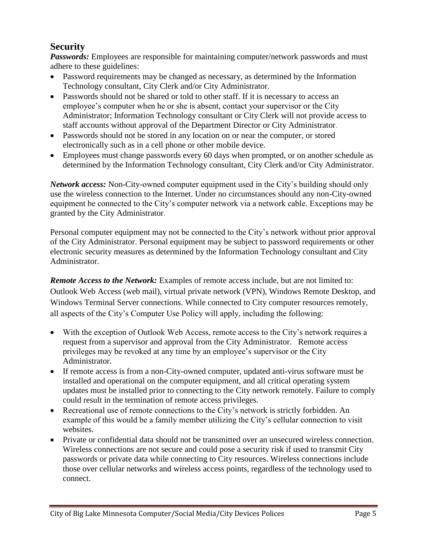#### **Security**

*Passwords:* Employees are responsible for maintaining computer/network passwords and must adhere to these guidelines:

- Password requirements may be changed as necessary, as determined by the Information Technology consultant, City Clerk and/or City Administrator.
- Passwords should not be shared or told to other staff. If it is necessary to access an employee's computer when he or she is absent, contact your supervisor or the City Administrator; Information Technology consultant or City Clerk will not provide access to staff accounts without approval of the Department Director or City Administrator.
- Passwords should not be stored in any location on or near the computer, or stored electronically such as in a cell phone or other mobile device.
- Employees must change passwords every 60 days when prompted, or on another schedule as determined by the Information Technology consultant, City Clerk and/or City Administrator.

*Network access:* Non-City-owned computer equipment used in the City's building should only use the wireless connection to the Internet. Under no circumstances should any non-City-owned equipment be connected to the City's computer network via a network cable. Exceptions may be granted by the City Administrator.

Personal computer equipment may not be connected to the City's network without prior approval of the City Administrator. Personal equipment may be subject to password requirements or other electronic security measures as determined by the Information Technology consultant and City Administrator.

*Remote Access to the Network:* Examples of remote access include, but are not limited to: Outlook Web Access (web mail), virtual private network (VPN), Windows Remote Desktop, and Windows Terminal Server connections. While connected to City computer resources remotely, all aspects of the City's Computer Use Policy will apply, including the following:

- With the exception of Outlook Web Access, remote access to the City's network requires a request from a supervisor and approval from the City Administrator. Remote access privileges may be revoked at any time by an employee's supervisor or the City Administrator.
- If remote access is from a non-City-owned computer, updated anti-virus software must be installed and operational on the computer equipment, and all critical operating system updates must be installed prior to connecting to the City network remotely. Failure to comply could result in the termination of remote access privileges.
- Recreational use of remote connections to the City's network is strictly forbidden. An example of this would be a family member utilizing the City's cellular connection to visit websites.
- Private or confidential data should not be transmitted over an unsecured wireless connection. Wireless connections are not secure and could pose a security risk if used to transmit City passwords or private data while connecting to City resources. Wireless connections include those over cellular networks and wireless access points, regardless of the technology used to connect.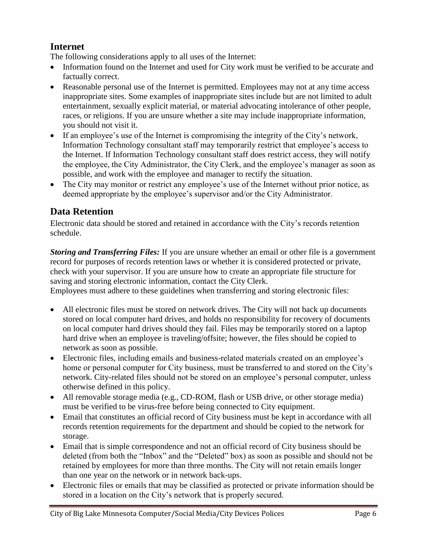#### <span id="page-5-0"></span>**Internet**

The following considerations apply to all uses of the Internet:

- Information found on the Internet and used for City work must be verified to be accurate and factually correct.
- Reasonable personal use of the Internet is permitted. Employees may not at any time access inappropriate sites. Some examples of inappropriate sites include but are not limited to adult entertainment, sexually explicit material, or material advocating intolerance of other people, races, or religions. If you are unsure whether a site may include inappropriate information, you should not visit it.
- If an employee's use of the Internet is compromising the integrity of the City's network, Information Technology consultant staff may temporarily restrict that employee's access to the Internet. If Information Technology consultant staff does restrict access, they will notify the employee, the City Administrator, the City Clerk, and the employee's manager as soon as possible, and work with the employee and manager to rectify the situation.
- The City may monitor or restrict any employee's use of the Internet without prior notice, as deemed appropriate by the employee's supervisor and/or the City Administrator.

#### <span id="page-5-1"></span>**Data Retention**

Electronic data should be stored and retained in accordance with the City's records retention schedule.

*Storing and Transferring Files:* If you are unsure whether an email or other file is a government record for purposes of records retention laws or whether it is considered protected or private, check with your supervisor. If you are unsure how to create an appropriate file structure for saving and storing electronic information, contact the City Clerk.

Employees must adhere to these guidelines when transferring and storing electronic files:

- All electronic files must be stored on network drives. The City will not back up documents stored on local computer hard drives, and holds no responsibility for recovery of documents on local computer hard drives should they fail. Files may be temporarily stored on a laptop hard drive when an employee is traveling/offsite; however, the files should be copied to network as soon as possible.
- Electronic files, including emails and business-related materials created on an employee's home or personal computer for City business, must be transferred to and stored on the City's network. City-related files should not be stored on an employee's personal computer, unless otherwise defined in this policy.
- All removable storage media (e.g., CD-ROM, flash or USB drive, or other storage media) must be verified to be virus-free before being connected to City equipment.
- Email that constitutes an official record of City business must be kept in accordance with all records retention requirements for the department and should be copied to the network for storage.
- Email that is simple correspondence and not an official record of City business should be deleted (from both the "Inbox" and the "Deleted" box) as soon as possible and should not be retained by employees for more than three months. The City will not retain emails longer than one year on the network or in network back-ups.
- Electronic files or emails that may be classified as protected or private information should be stored in a location on the City's network that is properly secured.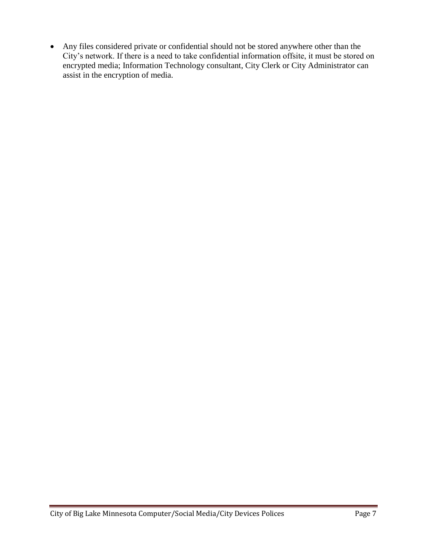Any files considered private or confidential should not be stored anywhere other than the City's network. If there is a need to take confidential information offsite, it must be stored on encrypted media; Information Technology consultant, City Clerk or City Administrator can assist in the encryption of media.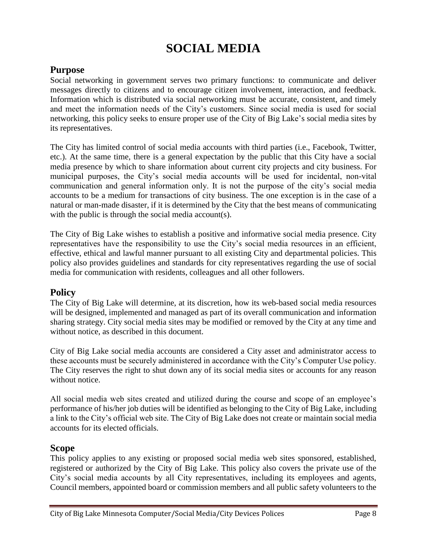## **SOCIAL MEDIA**

#### <span id="page-7-0"></span>**Purpose**

Social networking in government serves two primary functions: to communicate and deliver messages directly to citizens and to encourage citizen involvement, interaction, and feedback. Information which is distributed via social networking must be accurate, consistent, and timely and meet the information needs of the City's customers. Since social media is used for social networking, this policy seeks to ensure proper use of the City of Big Lake's social media sites by its representatives.

The City has limited control of social media accounts with third parties (i.e., Facebook, Twitter, etc.). At the same time, there is a general expectation by the public that this City have a social media presence by which to share information about current city projects and city business. For municipal purposes, the City's social media accounts will be used for incidental, non-vital communication and general information only. It is not the purpose of the city's social media accounts to be a medium for transactions of city business. The one exception is in the case of a natural or man-made disaster, if it is determined by the City that the best means of communicating with the public is through the social media account(s).

The City of Big Lake wishes to establish a positive and informative social media presence. City representatives have the responsibility to use the City's social media resources in an efficient, effective, ethical and lawful manner pursuant to all existing City and departmental policies. This policy also provides guidelines and standards for city representatives regarding the use of social media for communication with residents, colleagues and all other followers.

#### **Policy**

The City of Big Lake will determine, at its discretion, how its web-based social media resources will be designed, implemented and managed as part of its overall communication and information sharing strategy. City social media sites may be modified or removed by the City at any time and without notice, as described in this document.

City of Big Lake social media accounts are considered a City asset and administrator access to these accounts must be securely administered in accordance with the City's Computer Use policy. The City reserves the right to shut down any of its social media sites or accounts for any reason without notice.

All social media web sites created and utilized during the course and scope of an employee's performance of his/her job duties will be identified as belonging to the City of Big Lake, including a link to the City's official web site. The City of Big Lake does not create or maintain social media accounts for its elected officials.

#### **Scope**

This policy applies to any existing or proposed social media web sites sponsored, established, registered or authorized by the City of Big Lake. This policy also covers the private use of the City's social media accounts by all City representatives, including its employees and agents, Council members, appointed board or commission members and all public safety volunteers to the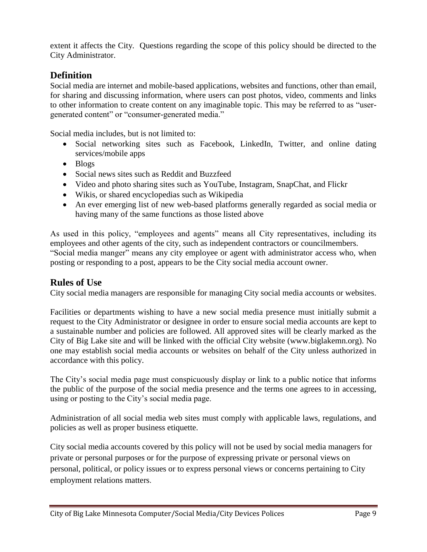extent it affects the City. Questions regarding the scope of this policy should be directed to the City Administrator.

#### **Definition**

Social media are internet and mobile-based applications, websites and functions, other than email, for sharing and discussing information, where users can post photos, video, comments and links to other information to create content on any imaginable topic. This may be referred to as "usergenerated content" or "consumer-generated media."

Social media includes, but is not limited to:

- Social networking sites such as Facebook, LinkedIn, Twitter, and online dating services/mobile apps
- Blogs
- Social news sites such as Reddit and Buzzfeed
- Video and photo sharing sites such as YouTube, Instagram, SnapChat, and Flickr
- Wikis, or shared encyclopedias such as Wikipedia
- An ever emerging list of new web-based platforms generally regarded as social media or having many of the same functions as those listed above

As used in this policy, "employees and agents" means all City representatives, including its employees and other agents of the city, such as independent contractors or councilmembers. "Social media manger" means any city employee or agent with administrator access who, when posting or responding to a post, appears to be the City social media account owner.

#### **Rules of Use**

City social media managers are responsible for managing City social media accounts or websites.

Facilities or departments wishing to have a new social media presence must initially submit a request to the City Administrator or designee in order to ensure social media accounts are kept to a sustainable number and policies are followed. All approved sites will be clearly marked as the City of Big Lake site and will be linked with the official City website (www.biglakemn.org). No one may establish social media accounts or websites on behalf of the City unless authorized in accordance with this policy.

The City's social media page must conspicuously display or link to a public notice that informs the public of the purpose of the social media presence and the terms one agrees to in accessing, using or posting to the City's social media page.

Administration of all social media web sites must comply with applicable laws, regulations, and policies as well as proper business etiquette.

City social media accounts covered by this policy will not be used by social media managers for private or personal purposes or for the purpose of expressing private or personal views on personal, political, or policy issues or to express personal views or concerns pertaining to City employment relations matters.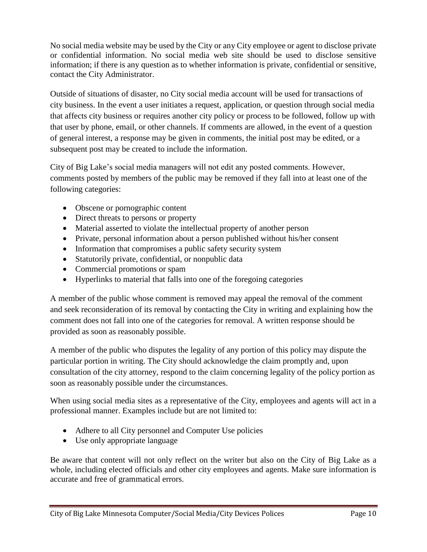No social media website may be used by the City or any City employee or agent to disclose private or confidential information. No social media web site should be used to disclose sensitive information; if there is any question as to whether information is private, confidential or sensitive, contact the City Administrator.

Outside of situations of disaster, no City social media account will be used for transactions of city business. In the event a user initiates a request, application, or question through social media that affects city business or requires another city policy or process to be followed, follow up with that user by phone, email, or other channels. If comments are allowed, in the event of a question of general interest, a response may be given in comments, the initial post may be edited, or a subsequent post may be created to include the information.

City of Big Lake's social media managers will not edit any posted comments. However, comments posted by members of the public may be removed if they fall into at least one of the following categories:

- Obscene or pornographic content
- Direct threats to persons or property
- Material asserted to violate the intellectual property of another person
- Private, personal information about a person published without his/her consent
- Information that compromises a public safety security system
- Statutorily private, confidential, or nonpublic data
- Commercial promotions or spam
- Hyperlinks to material that falls into one of the foregoing categories

A member of the public whose comment is removed may appeal the removal of the comment and seek reconsideration of its removal by contacting the City in writing and explaining how the comment does not fall into one of the categories for removal. A written response should be provided as soon as reasonably possible.

A member of the public who disputes the legality of any portion of this policy may dispute the particular portion in writing. The City should acknowledge the claim promptly and, upon consultation of the city attorney, respond to the claim concerning legality of the policy portion as soon as reasonably possible under the circumstances.

When using social media sites as a representative of the City, employees and agents will act in a professional manner. Examples include but are not limited to:

- Adhere to all City personnel and Computer Use policies
- Use only appropriate language

Be aware that content will not only reflect on the writer but also on the City of Big Lake as a whole, including elected officials and other city employees and agents. Make sure information is accurate and free of grammatical errors.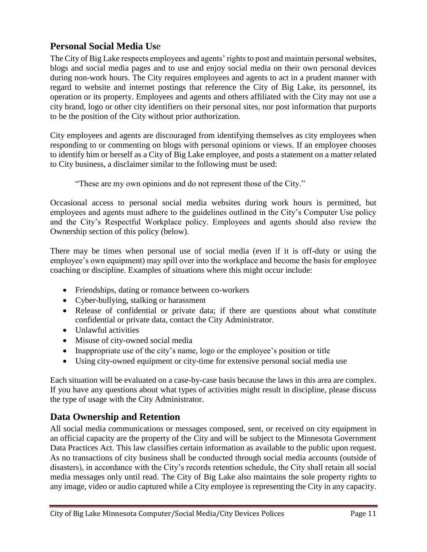#### <span id="page-10-0"></span>**Personal Social Media Us**e

The City of Big Lake respects employees and agents' rights to post and maintain personal websites, blogs and social media pages and to use and enjoy social media on their own personal devices during non-work hours. The City requires employees and agents to act in a prudent manner with regard to website and internet postings that reference the City of Big Lake, its personnel, its operation or its property. Employees and agents and others affiliated with the City may not use a city brand, logo or other city identifiers on their personal sites, nor post information that purports to be the position of the City without prior authorization.

City employees and agents are discouraged from identifying themselves as city employees when responding to or commenting on blogs with personal opinions or views. If an employee chooses to identify him or herself as a City of Big Lake employee, and posts a statement on a matter related to City business, a disclaimer similar to the following must be used:

"These are my own opinions and do not represent those of the City."

Occasional access to personal social media websites during work hours is permitted, but employees and agents must adhere to the guidelines outlined in the City's Computer Use policy and the City's Respectful Workplace policy. Employees and agents should also review the Ownership section of this policy (below).

There may be times when personal use of social media (even if it is off-duty or using the employee's own equipment) may spill over into the workplace and become the basis for employee coaching or discipline. Examples of situations where this might occur include:

- Friendships, dating or romance between co-workers
- Cyber-bullying, stalking or harassment
- Release of confidential or private data; if there are questions about what constitute confidential or private data, contact the City Administrator.
- Unlawful activities
- Misuse of city-owned social media
- Inappropriate use of the city's name, logo or the employee's position or title
- Using city-owned equipment or city-time for extensive personal social media use

Each situation will be evaluated on a case-by-case basis because the laws in this area are complex. If you have any questions about what types of activities might result in discipline, please discuss the type of usage with the City Administrator.

#### <span id="page-10-1"></span>**Data Ownership and Retention**

All social media communications or messages composed, sent, or received on city equipment in an official capacity are the property of the City and will be subject to the Minnesota Government Data Practices Act. This law classifies certain information as available to the public upon request. As no transactions of city business shall be conducted through social media accounts (outside of disasters), in accordance with the City's records retention schedule, the City shall retain all social media messages only until read. The City of Big Lake also maintains the sole property rights to any image, video or audio captured while a City employee is representing the City in any capacity.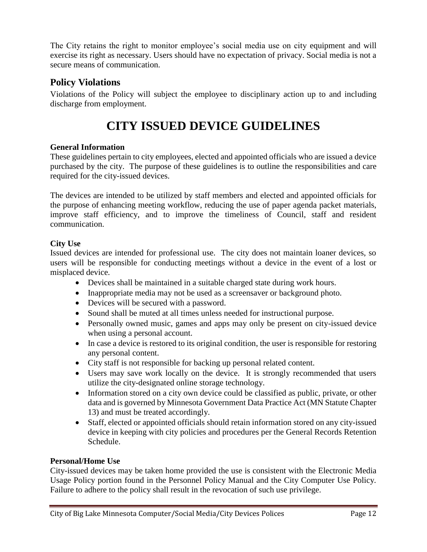The City retains the right to monitor employee's social media use on city equipment and will exercise its right as necessary. Users should have no expectation of privacy. Social media is not a secure means of communication.

#### <span id="page-11-0"></span>**Policy Violations**

Violations of the Policy will subject the employee to disciplinary action up to and including discharge from employment.

## **CITY ISSUED DEVICE GUIDELINES**

#### <span id="page-11-1"></span>**General Information**

These guidelines pertain to city employees, elected and appointed officials who are issued a device purchased by the city. The purpose of these guidelines is to outline the responsibilities and care required for the city-issued devices.

The devices are intended to be utilized by staff members and elected and appointed officials for the purpose of enhancing meeting workflow, reducing the use of paper agenda packet materials, improve staff efficiency, and to improve the timeliness of Council, staff and resident communication.

#### <span id="page-11-2"></span>**City Use**

Issued devices are intended for professional use. The city does not maintain loaner devices, so users will be responsible for conducting meetings without a device in the event of a lost or misplaced device.

- Devices shall be maintained in a suitable charged state during work hours.
- Inappropriate media may not be used as a screensaver or background photo.
- Devices will be secured with a password.
- Sound shall be muted at all times unless needed for instructional purpose.
- Personally owned music, games and apps may only be present on city-issued device when using a personal account.
- In case a device is restored to its original condition, the user is responsible for restoring any personal content.
- City staff is not responsible for backing up personal related content.
- Users may save work locally on the device. It is strongly recommended that users utilize the city-designated online storage technology.
- Information stored on a city own device could be classified as public, private, or other data and is governed by Minnesota Government Data Practice Act (MN Statute Chapter 13) and must be treated accordingly.
- Staff, elected or appointed officials should retain information stored on any city-issued device in keeping with city policies and procedures per the General Records Retention Schedule.

#### <span id="page-11-3"></span>**Personal/Home Use**

City-issued devices may be taken home provided the use is consistent with the Electronic Media Usage Policy portion found in the Personnel Policy Manual and the City Computer Use Policy. Failure to adhere to the policy shall result in the revocation of such use privilege.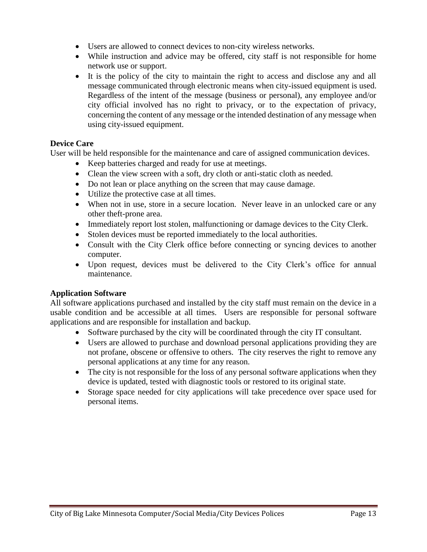- Users are allowed to connect devices to non-city wireless networks.
- While instruction and advice may be offered, city staff is not responsible for home network use or support.
- It is the policy of the city to maintain the right to access and disclose any and all message communicated through electronic means when city-issued equipment is used. Regardless of the intent of the message (business or personal), any employee and/or city official involved has no right to privacy, or to the expectation of privacy, concerning the content of any message or the intended destination of any message when using city-issued equipment.

#### <span id="page-12-0"></span>**Device Care**

User will be held responsible for the maintenance and care of assigned communication devices.

- Keep batteries charged and ready for use at meetings.
- Clean the view screen with a soft, dry cloth or anti-static cloth as needed.
- Do not lean or place anything on the screen that may cause damage.
- Utilize the protective case at all times.
- When not in use, store in a secure location. Never leave in an unlocked care or any other theft-prone area.
- Immediately report lost stolen, malfunctioning or damage devices to the City Clerk.
- Stolen devices must be reported immediately to the local authorities.
- Consult with the City Clerk office before connecting or syncing devices to another computer.
- Upon request, devices must be delivered to the City Clerk's office for annual maintenance.

#### <span id="page-12-1"></span>**Application Software**

All software applications purchased and installed by the city staff must remain on the device in a usable condition and be accessible at all times. Users are responsible for personal software applications and are responsible for installation and backup.

- Software purchased by the city will be coordinated through the city IT consultant.
- Users are allowed to purchase and download personal applications providing they are not profane, obscene or offensive to others. The city reserves the right to remove any personal applications at any time for any reason.
- The city is not responsible for the loss of any personal software applications when they device is updated, tested with diagnostic tools or restored to its original state.
- Storage space needed for city applications will take precedence over space used for personal items.